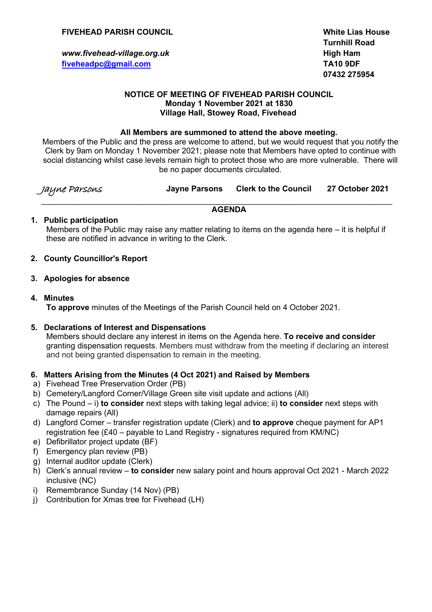### **FIVEHEAD PARISH COUNCIL White Lias House**

**www.fivehead-village.org.uk High Ham [fiveheadpc@gmail.com](mailto:fiveheadpc@gmail.com) TA10 9DF**

**Turnhill Road 07432 275954**

#### **NOTICE OF MEETING OF FIVEHEAD PARISH COUNCIL Monday 1 November 2021 at 1830 Village Hall, Stowey Road, Fivehead**

#### **All Members are summoned to attend the above meeting.**

Members of the Public and the press are welcome to attend, but we would request that you notify the Clerk by 9am on Monday 1 November 2021; please note that Members have opted to continue with social distancing whilst case levels remain high to protect those who are more vulnerable. There will be no paper documents circulated.

| Jayne Parsons | <b>Jayne Parsons</b> | Clerk to the Council 27 October 2021 |  |
|---------------|----------------------|--------------------------------------|--|
|---------------|----------------------|--------------------------------------|--|

#### $\_$  , and the set of the set of the set of the set of the set of the set of the set of the set of the set of the set of the set of the set of the set of the set of the set of the set of the set of the set of the set of th **AGENDA**

### **1. Public participation**

Members of the Public may raise any matter relating to items on the agenda here – it is helpful if these are notified in advance in writing to the Clerk.

### **2. County Councillor's Report**

#### **3. Apologies for absence**

### **4. Minutes**

**To approve** minutes of the Meetings of the Parish Council held on 4 October 2021.

### **5. Declarations of Interest and Dispensations**

Members should declare any interest in items on the Agenda here. **To receive and consider** granting dispensation requests. Members must withdraw from the meeting if declaring an interest and not being granted dispensation to remain in the meeting.

### **6. Matters Arising from the Minutes (4 Oct 2021) and Raised by Members**

- a) Fivehead Tree Preservation Order (PB)
- b) Cemetery/Langford Corner/Village Green site visit update and actions (All)
- c) The Pound i) **to consider** next steps with taking legal advice; ii) **to consider** next steps with damage repairs (All)
- d) Langford Corner transfer registration update (Clerk) and **to approve** cheque payment for AP1 registration fee (£40 – payable to Land Registry - signatures required from KM/NC)
- e) Defibrillator project update (BF)
- f) Emergency plan review (PB)
- g) Internal auditor update (Clerk)
- h) Clerk's annual review **to consider** new salary point and hours approval Oct 2021 March 2022 inclusive (NC)
- i) Remembrance Sunday (14 Nov) (PB)
- j) Contribution for Xmas tree for Fivehead (LH)